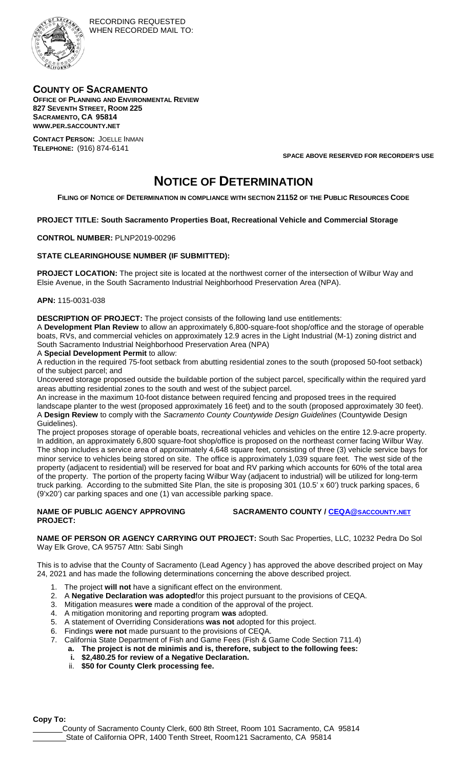

## **COUNTY OF SACRAMENTO**

**OFFICE OF PLANNING AND ENVIRONMENTAL REVIEW 827 SEVENTH STREET, ROOM 225 SACRAMENTO, CA 95814 WWW.PER.SACCOUNTY.NET CONTACT PERSON:** JOELLE INMAN

**TELEPHONE:** (916) 874-6141

**SPACE ABOVE RESERVED FOR RECORDER'S USE**

# **NOTICE OF DETERMINATION**

**FILING OF NOTICE OF DETERMINATION IN COMPLIANCE WITH SECTION 21152 OF THE PUBLIC RESOURCES CODE**

### **PROJECT TITLE: South Sacramento Properties Boat, Recreational Vehicle and Commercial Storage**

#### **CONTROL NUMBER:** PLNP2019-00296

#### **STATE CLEARINGHOUSE NUMBER (IF SUBMITTED):**

**PROJECT LOCATION:** The project site is located at the northwest corner of the intersection of Wilbur Way and Elsie Avenue, in the South Sacramento Industrial Neighborhood Preservation Area (NPA).

#### **APN:** 115-0031-038

**DESCRIPTION OF PROJECT:** The project consists of the following land use entitlements:

A **Development Plan Review** to allow an approximately 6,800-square-foot shop/office and the storage of operable boats, RVs, and commercial vehicles on approximately 12.9 acres in the Light Industrial (M-1) zoning district and South Sacramento Industrial Neighborhood Preservation Area (NPA)

A **Special Development Permit** to allow:

A reduction in the required 75-foot setback from abutting residential zones to the south (proposed 50-foot setback) of the subject parcel; and

Uncovered storage proposed outside the buildable portion of the subject parcel, specifically within the required yard areas abutting residential zones to the south and west of the subject parcel.

An increase in the maximum 10-foot distance between required fencing and proposed trees in the required landscape planter to the west (proposed approximately 16 feet) and to the south (proposed approximately 30 feet). A **Design Review** to comply with the *Sacramento County Countywide Design Guidelines* (Countywide Design Guidelines).

The project proposes storage of operable boats, recreational vehicles and vehicles on the entire 12.9-acre property. In addition, an approximately 6,800 square-foot shop/office is proposed on the northeast corner facing Wilbur Way. The shop includes a service area of approximately 4,648 square feet, consisting of three (3) vehicle service bays for minor service to vehicles being stored on site. The office is approximately 1,039 square feet. The west side of the property (adjacent to residential) will be reserved for boat and RV parking which accounts for 60% of the total area of the property. The portion of the property facing Wilbur Way (adjacent to industrial) will be utilized for long-term truck parking. According to the submitted Site Plan, the site is proposing 301 (10.5' x 60') truck parking spaces, 6 (9'x20') car parking spaces and one (1) van accessible parking space.

#### **NAME OF PUBLIC AGENCY APPROVING PROJECT:**

**SACRAMENTO COUNTY / [CEQA@SACCOUNTY.NET](mailto:CEQA@saccounty.net)**

**NAME OF PERSON OR AGENCY CARRYING OUT PROJECT:** South Sac Properties, LLC, 10232 Pedra Do Sol Way Elk Grove, CA 95757 Attn: Sabi Singh

This is to advise that the County of Sacramento (Lead Agency ) has approved the above described project on May 24, 2021 and has made the following determinations concerning the above described project.

- 1. The project **will not** have a significant effect on the environment.
- 2. A **Negative Declaration was adopted**for this project pursuant to the provisions of CEQA.
- 3. Mitigation measures **were** made a condition of the approval of the project.
- 4. A mitigation monitoring and reporting program **was** adopted.
- 5. A statement of Overriding Considerations **was not** adopted for this project.
- 6. Findings **were not** made pursuant to the provisions of CEQA.
- 7. California State Department of Fish and Game Fees (Fish & Game Code Section 711.4)
	- **a. The project is not de minimis and is, therefore, subject to the following fees:**
	- **i. \$2,480.25 for review of a Negative Declaration.**
	- ii. **\$50 for County Clerk processing fee.**

**Copy To:**